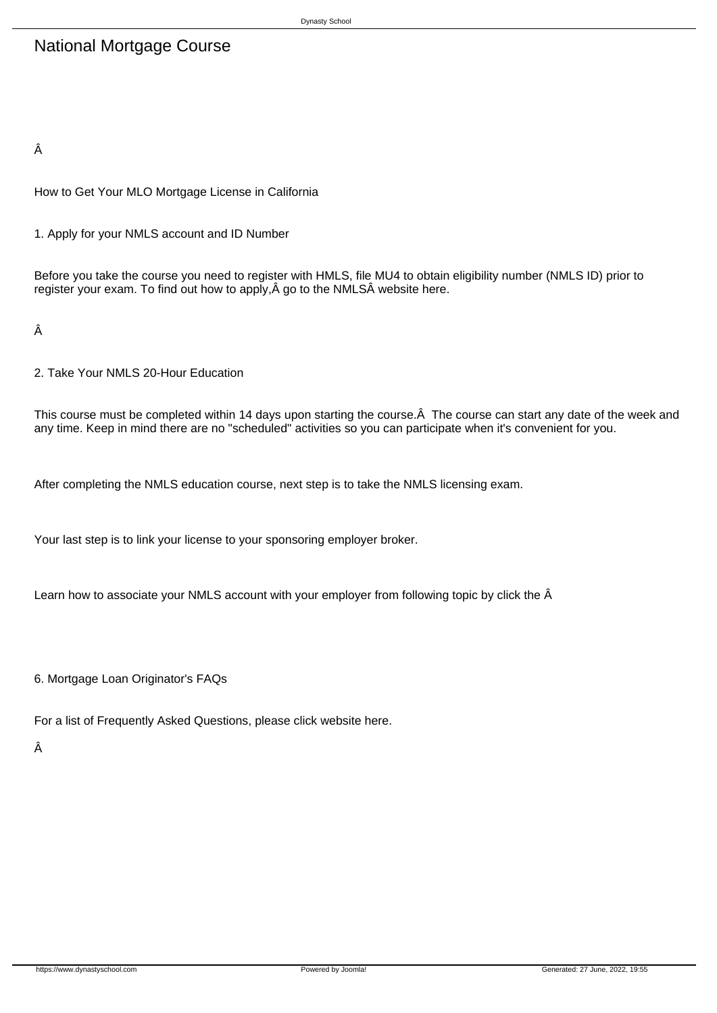## National Mortgage Course

Â

How to Get Your MLO Mortgage License in California

1. Apply for your NMLS account and ID Number

Before you take the course you need to register with HMLS, file MU4 to obtain eligibility number (NMLS ID) prior to register your exam. To find out how to apply, Â go to the NMLSÂ website here.

Â

2. Take Your NMLS 20-Hour Education

This course must be completed within 14 days upon starting the course. A The course can start any date of the week and any time. Keep in mind there are no "scheduled" activities so you can participate when it's convenient for you.

After completing the NMLS education course, next step is to take the NMLS licensing exam.

Your last step is to link your license to your sponsoring employer broker.

Learn how to associate your NMLS account with your employer from following topic by click the  $\hat{A}$ 

6. Mortgage Loan Originator's FAQs

For a list of Frequently Asked Questions, please click website here.

Â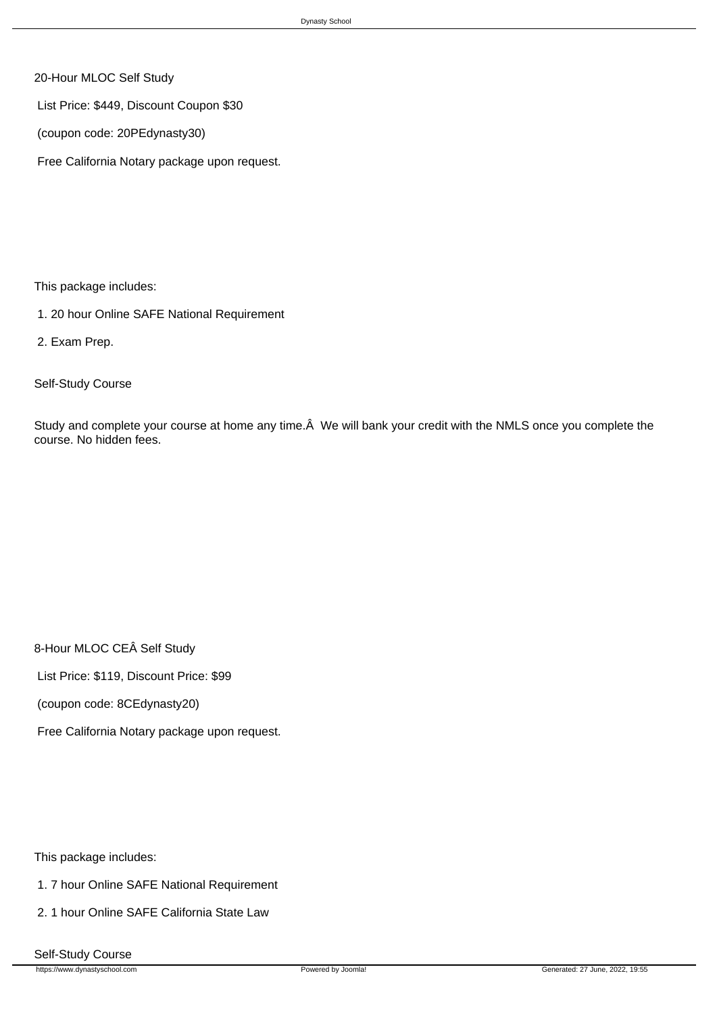- 20-Hour MLOC Self Study
- List Price: \$449, Discount Coupon \$30
- (coupon code: 20PEdynasty30)
- Free California Notary package upon request.

This package includes:

- 1. 20 hour Online SAFE National Requirement
- 2. Exam Prep.

Self-Study Course

Study and complete your course at home any time. Â We will bank your credit with the NMLS once you complete the course. No hidden fees.

8-Hour MLOC CEÂ Self Study

List Price: \$119, Discount Price: \$99

(coupon code: 8CEdynasty20)

Free California Notary package upon request.

This package includes:

- 1. 7 hour Online SAFE National Requirement
- 2. 1 hour Online SAFE California State Law
- Self-Study Course